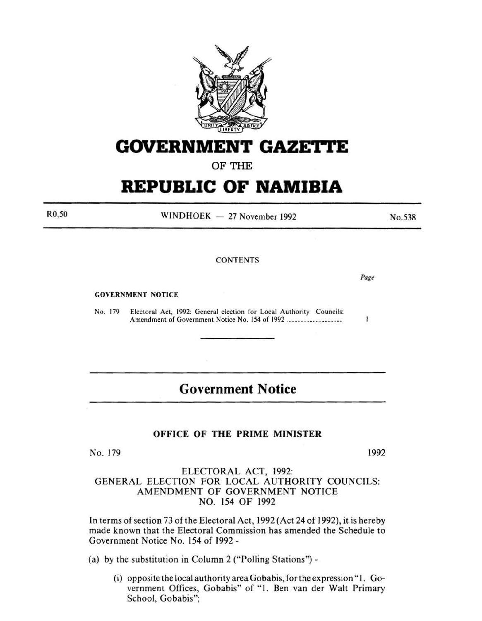

## **GOVERNMENT GAZE'ri'E**

OF THE

# **REPUBLIC OF NAMIBIA**

R0,50

 $WINDHOEK - 27 November 1992$ 

**CONTENTS** 

GOVERNMENT NOTICE

No. 179 Electoral Act, 1992: General election for Local Authority Councils: Amendment of Government Notice No. 154 of 1992 .................................... .

### **Government Notice**

### OFFICE OF THE PRIME MINISTER

No. 179 1992

### ELECTORAL ACT, 1992: GENERAL ELECTION FOR LOCAL AUTHORITY COUNCILS: AMENDMENT OF GOVERNMENT NOTICE NO. 154 OF 1992

In terms of section 73 of the Electoral Act, 1992 (Act 24 of 1992), it is hereby made known that the Electoral Commission has amended the Schedule to Government Notice No. 154 of 1992 -

(a) by the substitution in Column 2 ("Polling Stations")-

 $(i)$  opposite the local authority area Gobabis, for the expression "1. Government Offices, Gobabis" of "1. Ben van der Walt Primary School, Gobabis";

*Page* 

 $\mathbf{I}$ 

No.538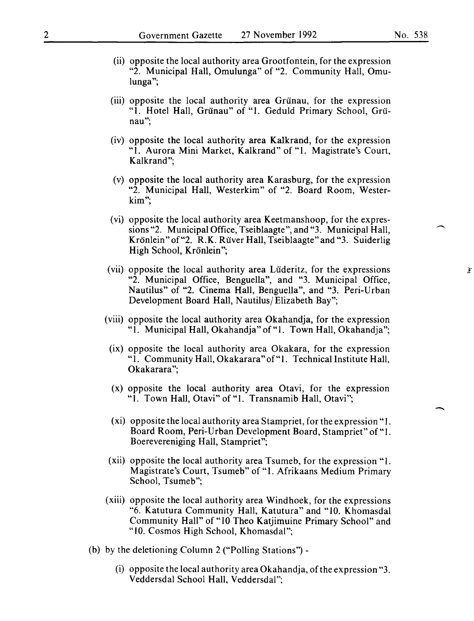- (ii) opposite the local authority area Grootfontein, for the expression "2. Municipal Hall, Omulunga" of "2. Community Hall, Omulunga";
- (iii) opposite the local authority area Grünau, for the expression "1. Hotel Hall, Griinau" of "1. Geduld Primary School, Griinau";
- (iv) opposite the local authority area Kalkrand, for the expression "1. Aurora Mini Market, Kalkrand" of "1. Magistrate's Court, Kalkrand";
- (v) opposite the local authority area Karasburg, for the expression "2. Municipal Hall, Westerkim" of "2. Board Room, Westerkim";
- (vi) opposite the local authority area Keetmanshoop, for the expressions "2. Municipal Office, Tseiblaagte", and "3. Municipal Hall, Krönlein" of "2. R.K. Rüver Hall, Tseiblaagte" and "3. Suiderlig High School, Krönlein";
- (vii) opposite the local authority area Liideritz, for the expressions "2. Municipal Office, Benguella", and "3. Municipal Office, Nautilus" of "2. Cinema Hall, Benguella", and "3. Peri-Urban Development Board Hall, Nautilus/Elizabeth Bay";
- (viii) opposite the local authority area Okahandja, for the expression "1. Municipal Hall, Okahandja" of "1. Town Hall, Okahandja";
- (ix) opposite the local authority area Okakara, for the expression "I. Community Hall, Okakarara" of" 1. Technical Institute Hall, Okakarara";
- (x) opposite the local authority area Otavi, for the expression "1. Town Hall, Otavi" of "1. Transnamib Hall, Otavi";
- (xi) opposite the local authority area Stampriet, for the expression" 1. Board Room, Peri-Urban Development Board, Stampriet" of"1. Boerevereniging Hall, Stampriet";
- (xii) opposite the local authority area Tsumeb, for the expression "1. Magistrate's Court, Tsumeb" of "I. Afrikaans Medium Primary School, Tsumeb";
- (xiii) opposite the local authority area Windhoek, for the expressions "6. Katutura Community Hall, Katutura" and "10. Khomasdal Community Hall" of "10 Theo Katjimuine Primary School" and "10. Cosmos High School, Khomasdal";
- (b) by the deletioning Column 2 ("Polling Stations")-
	- (i) opposite the local authority area Okahandja, of the expression "3. Veddersdal School Hall, Veddersdal":

 $\overline{\phantom{a}}$ 

爹